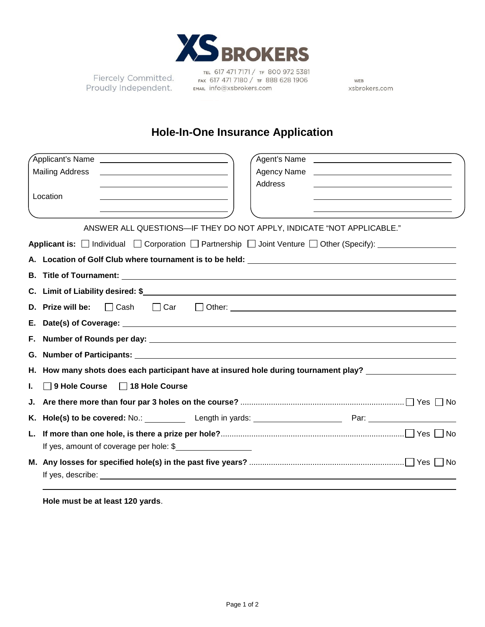

Proudly Independent.

TEL 617 471 7171 / TF 800 972 5381 Fiercely Committed. FAX 617 471 7180 / TF 888 628 1906 EMAIL info@xsbrokers.com

WEB xsbrokers.com

# **Hole-In-One Insurance Application**

| Applicant's Name <b>contract of the Contract of Applicant's</b>                                       |                                                                                                                           |
|-------------------------------------------------------------------------------------------------------|---------------------------------------------------------------------------------------------------------------------------|
| <b>Mailing Address</b>                                                                                |                                                                                                                           |
|                                                                                                       | Address                                                                                                                   |
| Location                                                                                              |                                                                                                                           |
|                                                                                                       | <u> 1989 - Jan Samuel Barbara, margaret e</u>                                                                             |
|                                                                                                       | ANSWER ALL QUESTIONS-IF THEY DO NOT APPLY, INDICATE "NOT APPLICABLE."                                                     |
|                                                                                                       | <b>Applicant is:</b> $\Box$ Individual $\Box$ Corporation $\Box$ Partnership $\Box$ Joint Venture $\Box$ Other (Specify): |
|                                                                                                       |                                                                                                                           |
|                                                                                                       |                                                                                                                           |
|                                                                                                       |                                                                                                                           |
| <b>D.</b> Prize will be: $\Box$ Cash<br>$\Box$ Car                                                    |                                                                                                                           |
| Е.                                                                                                    |                                                                                                                           |
| F.                                                                                                    |                                                                                                                           |
| G. Number of Participants: University of American Section 1995. The Section of American Section 1996. |                                                                                                                           |
|                                                                                                       | H. How many shots does each participant have at insured hole during tournament play?                                      |
| 9 Hole Course<br>□ 18 Hole Course<br>L.                                                               |                                                                                                                           |
| J.                                                                                                    |                                                                                                                           |
| Κ.                                                                                                    | Hole(s) to be covered: No.: Length in yards: No.: 2008 [2013] Par: 2014 [2014] Par: 2014 [2014] Par:                      |
| L.                                                                                                    |                                                                                                                           |
| If yes, amount of coverage per hole: \$                                                               |                                                                                                                           |
|                                                                                                       |                                                                                                                           |
|                                                                                                       |                                                                                                                           |

**Hole must be at least 120 yards**.